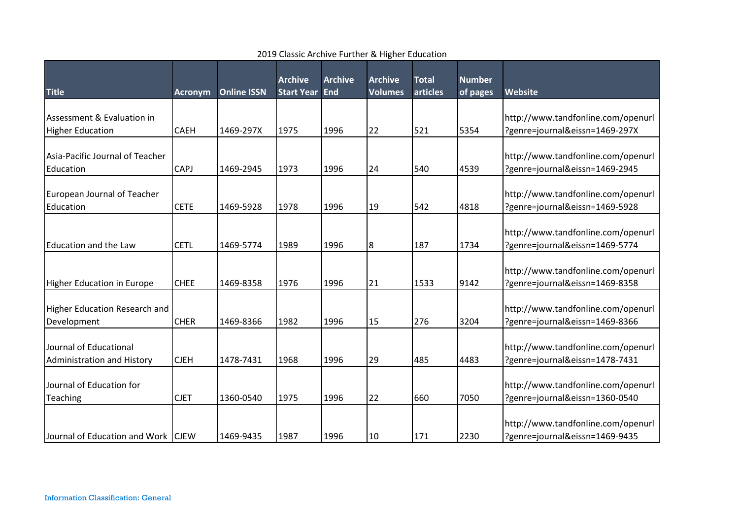|                                                       |                |                    | <b>Archive</b>    | <b>Archive</b> | <b>Archive</b> | <b>Total</b> | <b>Number</b> |                                                                      |
|-------------------------------------------------------|----------------|--------------------|-------------------|----------------|----------------|--------------|---------------|----------------------------------------------------------------------|
| <b>Title</b>                                          | <b>Acronym</b> | <b>Online ISSN</b> | <b>Start Year</b> | End            | <b>Volumes</b> | articles     | of pages      | Website                                                              |
| Assessment & Evaluation in<br><b>Higher Education</b> | <b>CAEH</b>    | 1469-297X          | 1975              | 1996           | 22             | 521          | 5354          | http://www.tandfonline.com/openurl<br>?genre=journal&eissn=1469-297X |
| Asia-Pacific Journal of Teacher<br>Education          | <b>CAPJ</b>    | 1469-2945          | 1973              | 1996           | 24             | 540          | 4539          | http://www.tandfonline.com/openurl<br>?genre=journal&eissn=1469-2945 |
| European Journal of Teacher<br>Education              | <b>CETE</b>    | 1469-5928          | 1978              | 1996           | 19             | 542          | 4818          | http://www.tandfonline.com/openurl<br>?genre=journal&eissn=1469-5928 |
| <b>Education and the Law</b>                          | <b>CETL</b>    | 1469-5774          | 1989              | 1996           | 8              | 187          | 1734          | http://www.tandfonline.com/openurl<br>?genre=journal&eissn=1469-5774 |
| <b>Higher Education in Europe</b>                     | <b>CHEE</b>    | 1469-8358          | 1976              | 1996           | 21             | 1533         | 9142          | http://www.tandfonline.com/openurl<br>?genre=journal&eissn=1469-8358 |
| <b>Higher Education Research and</b><br>Development   | <b>CHER</b>    | 1469-8366          | 1982              | 1996           | 15             | 276          | 3204          | http://www.tandfonline.com/openurl<br>?genre=journal&eissn=1469-8366 |
| Journal of Educational<br>Administration and History  | <b>CJEH</b>    | 1478-7431          | 1968              | 1996           | 29             | 485          | 4483          | http://www.tandfonline.com/openurl<br>?genre=journal&eissn=1478-7431 |
| Journal of Education for<br>Teaching                  | <b>CJET</b>    | 1360-0540          | 1975              | 1996           | 22             | 660          | 7050          | http://www.tandfonline.com/openurl<br>?genre=journal&eissn=1360-0540 |
| Journal of Education and Work   CJEW                  |                | 1469-9435          | 1987              | 1996           | 10             | 171          | 2230          | http://www.tandfonline.com/openurl<br>?genre=journal&eissn=1469-9435 |

## 2019 Classic Archive Further & Higher Education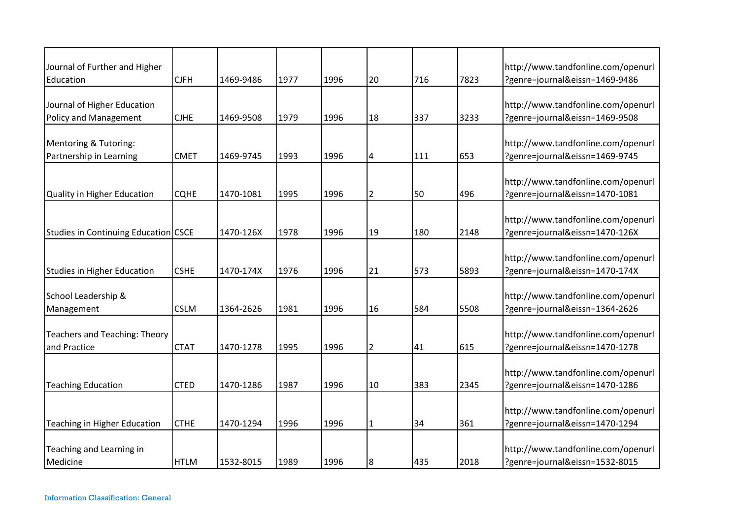| Journal of Further and Higher<br>Education                  | <b>CJFH</b> | 1469-9486 | 1977 | 1996 | 20             | 716 | 7823 | http://www.tandfonline.com/openurl<br>?genre=journal&eissn=1469-9486 |
|-------------------------------------------------------------|-------------|-----------|------|------|----------------|-----|------|----------------------------------------------------------------------|
| Journal of Higher Education<br><b>Policy and Management</b> | <b>CJHE</b> | 1469-9508 | 1979 | 1996 | 18             | 337 | 3233 | http://www.tandfonline.com/openurl<br>?genre=journal&eissn=1469-9508 |
| Mentoring & Tutoring:<br>Partnership in Learning            | <b>CMET</b> | 1469-9745 | 1993 | 1996 | 4              | 111 | 653  | http://www.tandfonline.com/openurl<br>?genre=journal&eissn=1469-9745 |
| Quality in Higher Education                                 | <b>CQHE</b> | 1470-1081 | 1995 | 1996 | $\overline{2}$ | 50  | 496  | http://www.tandfonline.com/openurl<br>?genre=journal&eissn=1470-1081 |
| Studies in Continuing Education CSCE                        |             | 1470-126X | 1978 | 1996 | 19             | 180 | 2148 | http://www.tandfonline.com/openurl<br>?genre=journal&eissn=1470-126X |
| <b>Studies in Higher Education</b>                          | <b>CSHE</b> | 1470-174X | 1976 | 1996 | 21             | 573 | 5893 | http://www.tandfonline.com/openurl<br>?genre=journal&eissn=1470-174X |
| School Leadership &<br>Management                           | <b>CSLM</b> | 1364-2626 | 1981 | 1996 | 16             | 584 | 5508 | http://www.tandfonline.com/openurl<br>?genre=journal&eissn=1364-2626 |
| Teachers and Teaching: Theory<br>and Practice               | <b>CTAT</b> | 1470-1278 | 1995 | 1996 | $\overline{2}$ | 41  | 615  | http://www.tandfonline.com/openurl<br>?genre=journal&eissn=1470-1278 |
| <b>Teaching Education</b>                                   | <b>CTED</b> | 1470-1286 | 1987 | 1996 | 10             | 383 | 2345 | http://www.tandfonline.com/openurl<br>?genre=journal&eissn=1470-1286 |
| Teaching in Higher Education                                | <b>CTHE</b> | 1470-1294 | 1996 | 1996 | 1              | 34  | 361  | http://www.tandfonline.com/openurl<br>?genre=journal&eissn=1470-1294 |
| Teaching and Learning in<br>Medicine                        | <b>HTLM</b> | 1532-8015 | 1989 | 1996 | 8              | 435 | 2018 | http://www.tandfonline.com/openurl<br>?genre=journal&eissn=1532-8015 |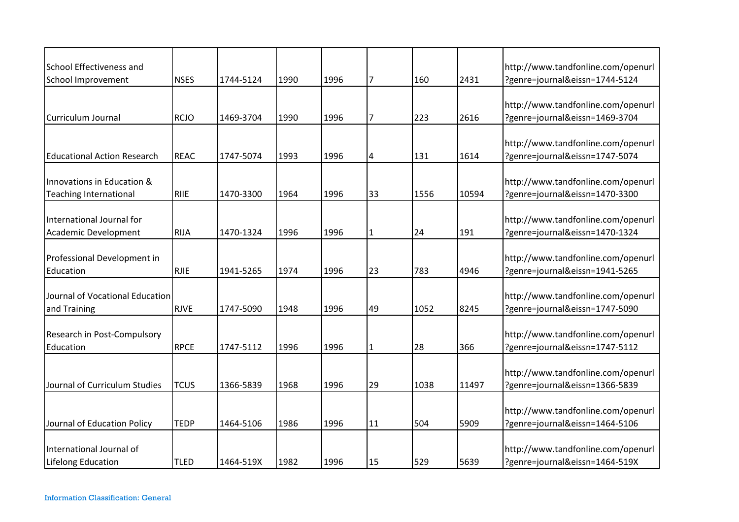| School Effectiveness and                                    |             |           |      |      |                |      |       | http://www.tandfonline.com/openurl                                   |
|-------------------------------------------------------------|-------------|-----------|------|------|----------------|------|-------|----------------------------------------------------------------------|
| School Improvement                                          | <b>NSES</b> | 1744-5124 | 1990 | 1996 | $\overline{7}$ | 160  | 2431  | ?genre=journal&eissn=1744-5124                                       |
| Curriculum Journal                                          | <b>RCJO</b> | 1469-3704 | 1990 | 1996 | 17             | 223  | 2616  | http://www.tandfonline.com/openurl<br>?genre=journal&eissn=1469-3704 |
| <b>Educational Action Research</b>                          | <b>REAC</b> | 1747-5074 | 1993 | 1996 | 4              | 131  | 1614  | http://www.tandfonline.com/openurl<br>?genre=journal&eissn=1747-5074 |
| Innovations in Education &<br><b>Teaching International</b> | <b>RIIE</b> | 1470-3300 | 1964 | 1996 | 33             | 1556 | 10594 | http://www.tandfonline.com/openurl<br>?genre=journal&eissn=1470-3300 |
| International Journal for<br>Academic Development           | <b>RIJA</b> | 1470-1324 | 1996 | 1996 | $\mathbf{1}$   | 24   | 191   | http://www.tandfonline.com/openurl<br>?genre=journal&eissn=1470-1324 |
| Professional Development in<br>Education                    | <b>RJIE</b> | 1941-5265 | 1974 | 1996 | 23             | 783  | 4946  | http://www.tandfonline.com/openurl<br>?genre=journal&eissn=1941-5265 |
| Journal of Vocational Education<br>and Training             | <b>RJVE</b> | 1747-5090 | 1948 | 1996 | 49             | 1052 | 8245  | http://www.tandfonline.com/openurl<br>?genre=journal&eissn=1747-5090 |
| Research in Post-Compulsory<br>Education                    | <b>RPCE</b> | 1747-5112 | 1996 | 1996 | $\overline{1}$ | 28   | 366   | http://www.tandfonline.com/openurl<br>?genre=journal&eissn=1747-5112 |
| Journal of Curriculum Studies                               | <b>TCUS</b> | 1366-5839 | 1968 | 1996 | 29             | 1038 | 11497 | http://www.tandfonline.com/openurl<br>?genre=journal&eissn=1366-5839 |
| Journal of Education Policy                                 | <b>TEDP</b> | 1464-5106 | 1986 | 1996 | 11             | 504  | 5909  | http://www.tandfonline.com/openurl<br>?genre=journal&eissn=1464-5106 |
| International Journal of<br><b>Lifelong Education</b>       | <b>TLED</b> | 1464-519X | 1982 | 1996 | 15             | 529  | 5639  | http://www.tandfonline.com/openurl<br>?genre=journal&eissn=1464-519X |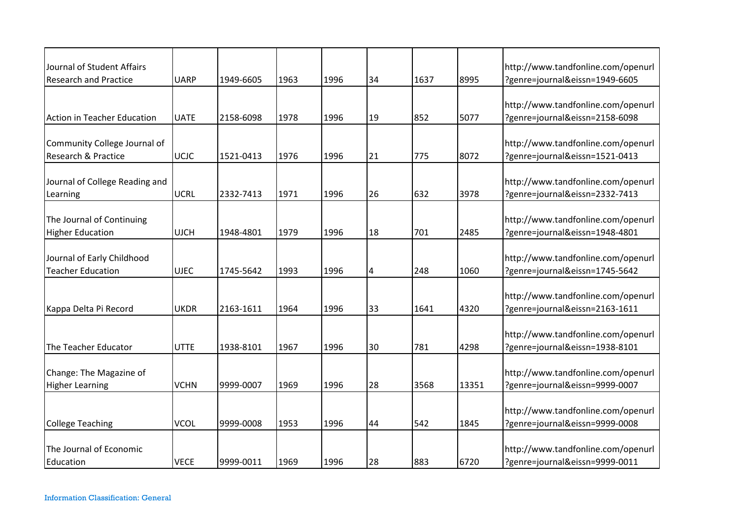| Journal of Student Affairs<br><b>Research and Practice</b> | <b>UARP</b> | 1949-6605 | 1963 | 1996 | 34 | 1637 | 8995  | http://www.tandfonline.com/openurl<br>?genre=journal&eissn=1949-6605 |
|------------------------------------------------------------|-------------|-----------|------|------|----|------|-------|----------------------------------------------------------------------|
|                                                            |             |           |      |      |    |      |       |                                                                      |
|                                                            |             |           |      |      |    |      |       | http://www.tandfonline.com/openurl                                   |
| <b>Action in Teacher Education</b>                         | <b>UATE</b> | 2158-6098 | 1978 | 1996 | 19 | 852  | 5077  | ?genre=journal&eissn=2158-6098                                       |
|                                                            |             |           |      |      |    |      |       |                                                                      |
| Community College Journal of                               |             |           |      |      |    |      |       | http://www.tandfonline.com/openurl                                   |
| Research & Practice                                        | <b>UCIC</b> | 1521-0413 | 1976 | 1996 | 21 | 775  | 8072  | ?genre=journal&eissn=1521-0413                                       |
| Journal of College Reading and                             |             |           |      |      |    |      |       | http://www.tandfonline.com/openurl                                   |
| Learning                                                   | <b>UCRL</b> | 2332-7413 | 1971 | 1996 | 26 | 632  | 3978  | ?genre=journal&eissn=2332-7413                                       |
|                                                            |             |           |      |      |    |      |       |                                                                      |
| The Journal of Continuing                                  |             |           |      |      |    |      |       | http://www.tandfonline.com/openurl                                   |
| <b>Higher Education</b>                                    | <b>UJCH</b> | 1948-4801 | 1979 | 1996 | 18 | 701  | 2485  | ?genre=journal&eissn=1948-4801                                       |
|                                                            |             |           |      |      |    |      |       |                                                                      |
| Journal of Early Childhood                                 |             |           |      |      |    |      |       | http://www.tandfonline.com/openurl                                   |
| <b>Teacher Education</b>                                   | <b>UJEC</b> | 1745-5642 | 1993 | 1996 | 4  | 248  | 1060  | ?genre=journal&eissn=1745-5642                                       |
|                                                            |             |           |      |      |    |      |       | http://www.tandfonline.com/openurl                                   |
| Kappa Delta Pi Record                                      | <b>UKDR</b> | 2163-1611 | 1964 | 1996 | 33 | 1641 | 4320  | ?genre=journal&eissn=2163-1611                                       |
|                                                            |             |           |      |      |    |      |       |                                                                      |
|                                                            |             |           |      |      |    |      |       | http://www.tandfonline.com/openurl                                   |
| The Teacher Educator                                       | <b>UTTE</b> | 1938-8101 | 1967 | 1996 | 30 | 781  | 4298  | ?genre=journal&eissn=1938-8101                                       |
|                                                            |             |           |      |      |    |      |       |                                                                      |
| Change: The Magazine of                                    |             |           |      |      |    |      |       | http://www.tandfonline.com/openurl                                   |
| <b>Higher Learning</b>                                     | <b>VCHN</b> | 9999-0007 | 1969 | 1996 | 28 | 3568 | 13351 | ?genre=journal&eissn=9999-0007                                       |
|                                                            |             |           |      |      |    |      |       |                                                                      |
|                                                            |             |           |      |      |    |      |       | http://www.tandfonline.com/openurl                                   |
| <b>College Teaching</b>                                    | <b>VCOL</b> | 9999-0008 | 1953 | 1996 | 44 | 542  | 1845  | ?genre=journal&eissn=9999-0008                                       |
|                                                            |             |           |      |      |    |      |       |                                                                      |
| The Journal of Economic                                    |             |           |      |      |    |      |       | http://www.tandfonline.com/openurl                                   |
| Education                                                  | <b>VECE</b> | 9999-0011 | 1969 | 1996 | 28 | 883  | 6720  | ?genre=journal&eissn=9999-0011                                       |